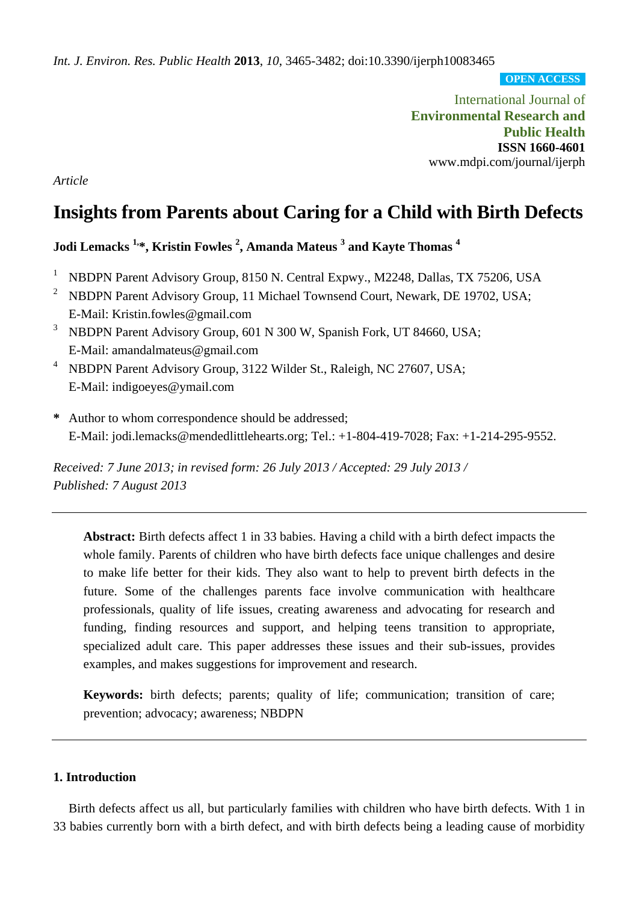*Int. J. Environ. Res. Public Health* **2013**, *10*, 3465-3482; doi:10.3390/ijerph10083465

**OPEN ACCESS**

International Journal of **Environmental Research and Public Health ISSN 1660-4601** www.mdpi.com/journal/ijerph

*Article*

# **Insights from Parents about Caring for a Child with Birth Defects**

**Jodi Lemacks 1,\*, Kristin Fowles <sup>2</sup> , Amanda Mateus <sup>3</sup> and Kayte Thomas <sup>4</sup>**

- <sup>1</sup> NBDPN Parent Advisory Group, 8150 N. Central Expwy., M2248, Dallas, TX 75206, USA
- <sup>2</sup> NBDPN Parent Advisory Group, 11 Michael Townsend Court, Newark, DE 19702, USA; E-Mail: Kristin.fowles@gmail.com
- <sup>3</sup> NBDPN Parent Advisory Group, 601 N 300 W, Spanish Fork, UT 84660, USA; E-Mail: amandalmateus@gmail.com
- <sup>4</sup> NBDPN Parent Advisory Group, 3122 Wilder St., Raleigh, NC 27607, USA; E-Mail: indigoeyes@ymail.com
- **\*** Author to whom correspondence should be addressed; E-Mail: jodi.lemacks@mendedlittlehearts.org; Tel.: +1-804-419-7028; Fax: +1-214-295-9552.

*Received: 7 June 2013; in revised form: 26 July 2013 / Accepted: 29 July 2013 / Published: 7 August 2013*

**Abstract:** Birth defects affect 1 in 33 babies. Having a child with a birth defect impacts the whole family. Parents of children who have birth defects face unique challenges and desire to make life better for their kids. They also want to help to prevent birth defects in the future. Some of the challenges parents face involve communication with healthcare professionals, quality of life issues, creating awareness and advocating for research and funding, finding resources and support, and helping teens transition to appropriate, specialized adult care. This paper addresses these issues and their sub-issues, provides examples, and makes suggestions for improvement and research.

**Keywords:** birth defects; parents; quality of life; communication; transition of care; prevention; advocacy; awareness; NBDPN

# **1. Introduction**

Birth defects affect us all, but particularly families with children who have birth defects. With 1 in 33 babies currently born with a birth defect, and with birth defects being a leading cause of morbidity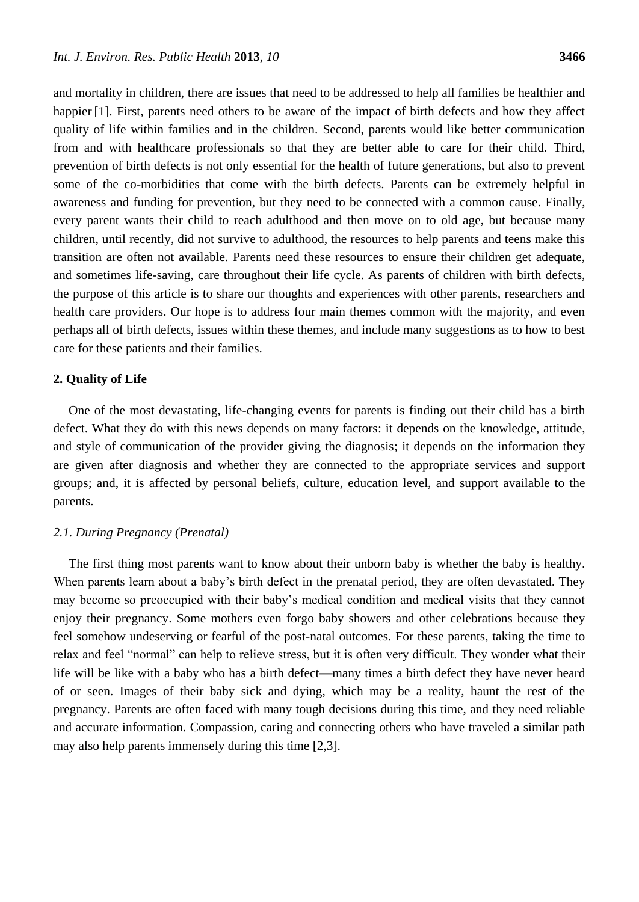and mortality in children, there are issues that need to be addressed to help all families be healthier and happier [1]. First, parents need others to be aware of the impact of birth defects and how they affect quality of life within families and in the children. Second, parents would like better communication from and with healthcare professionals so that they are better able to care for their child. Third, prevention of birth defects is not only essential for the health of future generations, but also to prevent some of the co-morbidities that come with the birth defects. Parents can be extremely helpful in awareness and funding for prevention, but they need to be connected with a common cause. Finally, every parent wants their child to reach adulthood and then move on to old age, but because many children, until recently, did not survive to adulthood, the resources to help parents and teens make this transition are often not available. Parents need these resources to ensure their children get adequate, and sometimes life-saving, care throughout their life cycle. As parents of children with birth defects, the purpose of this article is to share our thoughts and experiences with other parents, researchers and health care providers. Our hope is to address four main themes common with the majority, and even perhaps all of birth defects, issues within these themes, and include many suggestions as to how to best care for these patients and their families.

## **2. Quality of Life**

One of the most devastating, life-changing events for parents is finding out their child has a birth defect. What they do with this news depends on many factors: it depends on the knowledge, attitude, and style of communication of the provider giving the diagnosis; it depends on the information they are given after diagnosis and whether they are connected to the appropriate services and support groups; and, it is affected by personal beliefs, culture, education level, and support available to the parents.

# *2.1. During Pregnancy (Prenatal)*

The first thing most parents want to know about their unborn baby is whether the baby is healthy. When parents learn about a baby's birth defect in the prenatal period, they are often devastated. They may become so preoccupied with their baby's medical condition and medical visits that they cannot enjoy their pregnancy. Some mothers even forgo baby showers and other celebrations because they feel somehow undeserving or fearful of the post-natal outcomes. For these parents, taking the time to relax and feel "normal" can help to relieve stress, but it is often very difficult. They wonder what their life will be like with a baby who has a birth defect—many times a birth defect they have never heard of or seen. Images of their baby sick and dying, which may be a reality, haunt the rest of the pregnancy. Parents are often faced with many tough decisions during this time, and they need reliable and accurate information. Compassion, caring and connecting others who have traveled a similar path may also help parents immensely during this time [2,3].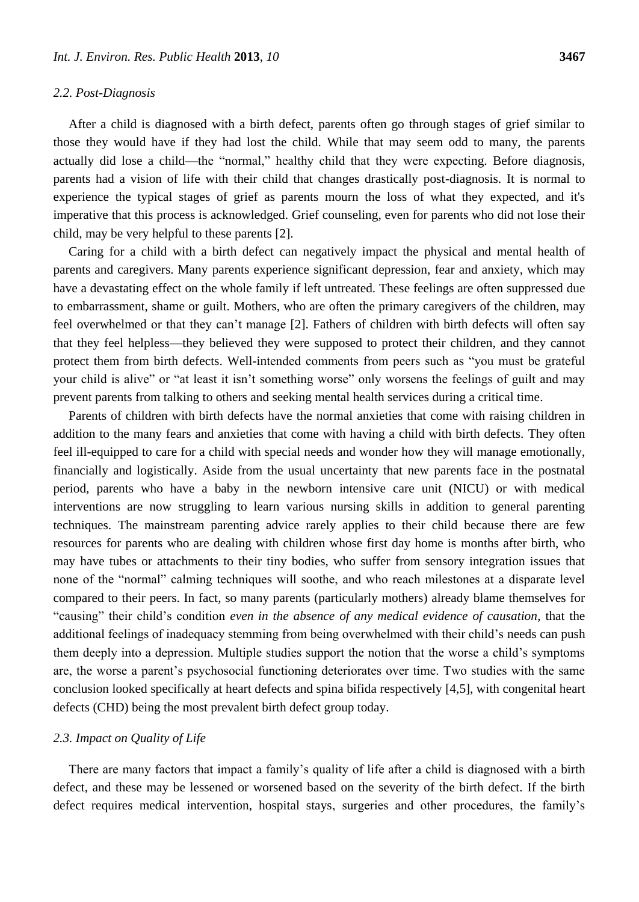#### *2.2. Post-Diagnosis*

After a child is diagnosed with a birth defect, parents often go through stages of grief similar to those they would have if they had lost the child. While that may seem odd to many, the parents actually did lose a child—the "normal," healthy child that they were expecting. Before diagnosis, parents had a vision of life with their child that changes drastically post-diagnosis. It is normal to experience the typical stages of grief as parents mourn the loss of what they expected, and it's imperative that this process is acknowledged. Grief counseling, even for parents who did not lose their child, may be very helpful to these parents [2].

Caring for a child with a birth defect can negatively impact the physical and mental health of parents and caregivers. Many parents experience significant depression, fear and anxiety, which may have a devastating effect on the whole family if left untreated. These feelings are often suppressed due to embarrassment, shame or guilt. Mothers, who are often the primary caregivers of the children, may feel overwhelmed or that they can't manage [2]. Fathers of children with birth defects will often say that they feel helpless—they believed they were supposed to protect their children, and they cannot protect them from birth defects. Well-intended comments from peers such as "you must be grateful your child is alive" or "at least it isn't something worse" only worsens the feelings of guilt and may prevent parents from talking to others and seeking mental health services during a critical time.

Parents of children with birth defects have the normal anxieties that come with raising children in addition to the many fears and anxieties that come with having a child with birth defects. They often feel ill-equipped to care for a child with special needs and wonder how they will manage emotionally, financially and logistically. Aside from the usual uncertainty that new parents face in the postnatal period, parents who have a baby in the newborn intensive care unit (NICU) or with medical interventions are now struggling to learn various nursing skills in addition to general parenting techniques. The mainstream parenting advice rarely applies to their child because there are few resources for parents who are dealing with children whose first day home is months after birth, who may have tubes or attachments to their tiny bodies, who suffer from sensory integration issues that none of the "normal" calming techniques will soothe, and who reach milestones at a disparate level compared to their peers. In fact, so many parents (particularly mothers) already blame themselves for "causing" their child's condition *even in the absence of any medical evidence of causation*, that the additional feelings of inadequacy stemming from being overwhelmed with their child's needs can push them deeply into a depression. Multiple studies support the notion that the worse a child's symptoms are, the worse a parent's psychosocial functioning deteriorates over time. Two studies with the same conclusion looked specifically at heart defects and spina bifida respectively [4,5], with congenital heart defects (CHD) being the most prevalent birth defect group today.

# *2.3. Impact on Quality of Life*

There are many factors that impact a family's quality of life after a child is diagnosed with a birth defect, and these may be lessened or worsened based on the severity of the birth defect. If the birth defect requires medical intervention, hospital stays, surgeries and other procedures, the family's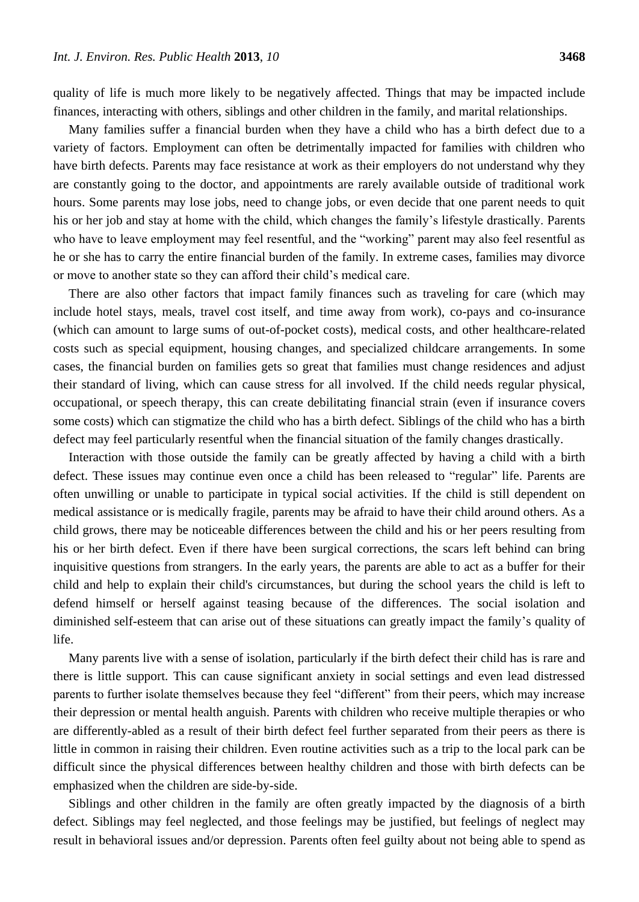quality of life is much more likely to be negatively affected. Things that may be impacted include finances, interacting with others, siblings and other children in the family, and marital relationships.

Many families suffer a financial burden when they have a child who has a birth defect due to a variety of factors. Employment can often be detrimentally impacted for families with children who have birth defects. Parents may face resistance at work as their employers do not understand why they are constantly going to the doctor, and appointments are rarely available outside of traditional work hours. Some parents may lose jobs, need to change jobs, or even decide that one parent needs to quit his or her job and stay at home with the child, which changes the family's lifestyle drastically. Parents who have to leave employment may feel resentful, and the "working" parent may also feel resentful as he or she has to carry the entire financial burden of the family. In extreme cases, families may divorce or move to another state so they can afford their child's medical care.

There are also other factors that impact family finances such as traveling for care (which may include hotel stays, meals, travel cost itself, and time away from work), co-pays and co-insurance (which can amount to large sums of out-of-pocket costs), medical costs, and other healthcare-related costs such as special equipment, housing changes, and specialized childcare arrangements. In some cases, the financial burden on families gets so great that families must change residences and adjust their standard of living, which can cause stress for all involved. If the child needs regular physical, occupational, or speech therapy, this can create debilitating financial strain (even if insurance covers some costs) which can stigmatize the child who has a birth defect. Siblings of the child who has a birth defect may feel particularly resentful when the financial situation of the family changes drastically.

Interaction with those outside the family can be greatly affected by having a child with a birth defect. These issues may continue even once a child has been released to "regular" life. Parents are often unwilling or unable to participate in typical social activities. If the child is still dependent on medical assistance or is medically fragile, parents may be afraid to have their child around others. As a child grows, there may be noticeable differences between the child and his or her peers resulting from his or her birth defect. Even if there have been surgical corrections, the scars left behind can bring inquisitive questions from strangers. In the early years, the parents are able to act as a buffer for their child and help to explain their child's circumstances, but during the school years the child is left to defend himself or herself against teasing because of the differences. The social isolation and diminished self-esteem that can arise out of these situations can greatly impact the family's quality of life.

Many parents live with a sense of isolation, particularly if the birth defect their child has is rare and there is little support. This can cause significant anxiety in social settings and even lead distressed parents to further isolate themselves because they feel "different" from their peers, which may increase their depression or mental health anguish. Parents with children who receive multiple therapies or who are differently-abled as a result of their birth defect feel further separated from their peers as there is little in common in raising their children. Even routine activities such as a trip to the local park can be difficult since the physical differences between healthy children and those with birth defects can be emphasized when the children are side-by-side.

Siblings and other children in the family are often greatly impacted by the diagnosis of a birth defect. Siblings may feel neglected, and those feelings may be justified, but feelings of neglect may result in behavioral issues and/or depression. Parents often feel guilty about not being able to spend as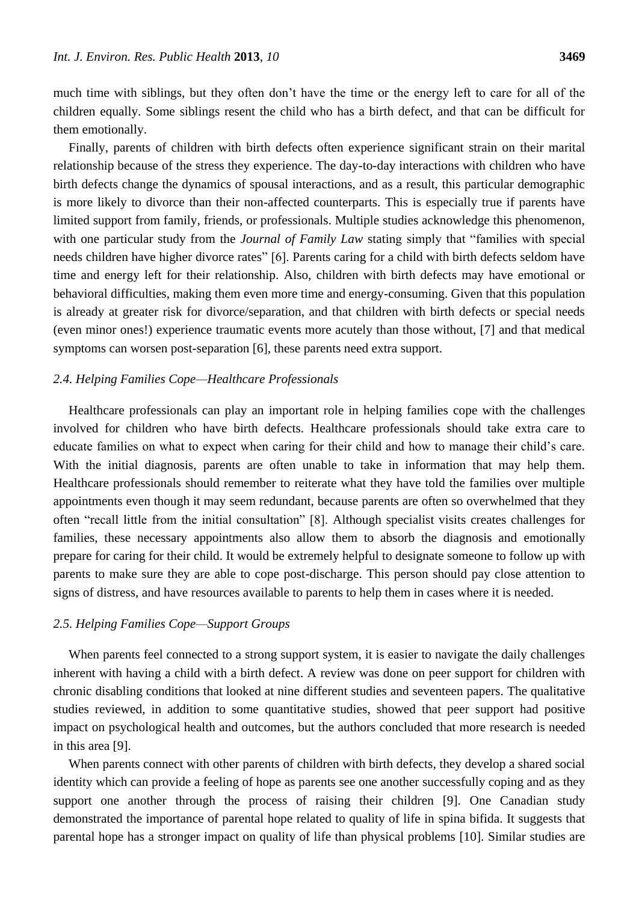much time with siblings, but they often don't have the time or the energy left to care for all of the children equally. Some siblings resent the child who has a birth defect, and that can be difficult for them emotionally.

Finally, parents of children with birth defects often experience significant strain on their marital relationship because of the stress they experience. The day-to-day interactions with children who have birth defects change the dynamics of spousal interactions, and as a result, this particular demographic is more likely to divorce than their non-affected counterparts. This is especially true if parents have limited support from family, friends, or professionals. Multiple studies acknowledge this phenomenon, with one particular study from the *Journal of Family Law* stating simply that "families with special needs children have higher divorce rates" [6]. Parents caring for a child with birth defects seldom have time and energy left for their relationship. Also, children with birth defects may have emotional or behavioral difficulties, making them even more time and energy-consuming. Given that this population is already at greater risk for divorce/separation, and that children with birth defects or special needs (even minor ones!) experience traumatic events more acutely than those without, [7] and that medical symptoms can worsen post-separation [6], these parents need extra support.

#### *2.4. Helping Families Cope—Healthcare Professionals*

Healthcare professionals can play an important role in helping families cope with the challenges involved for children who have birth defects. Healthcare professionals should take extra care to educate families on what to expect when caring for their child and how to manage their child's care. With the initial diagnosis, parents are often unable to take in information that may help them. Healthcare professionals should remember to reiterate what they have told the families over multiple appointments even though it may seem redundant, because parents are often so overwhelmed that they often "recall little from the initial consultation" [8]. Although specialist visits creates challenges for families, these necessary appointments also allow them to absorb the diagnosis and emotionally prepare for caring for their child. It would be extremely helpful to designate someone to follow up with parents to make sure they are able to cope post-discharge. This person should pay close attention to signs of distress, and have resources available to parents to help them in cases where it is needed.

## *2.5. Helping Families Cope—Support Groups*

When parents feel connected to a strong support system, it is easier to navigate the daily challenges inherent with having a child with a birth defect. A review was done on peer support for children with chronic disabling conditions that looked at nine different studies and seventeen papers. The qualitative studies reviewed, in addition to some quantitative studies, showed that peer support had positive impact on psychological health and outcomes, but the authors concluded that more research is needed in this area [9].

When parents connect with other parents of children with birth defects, they develop a shared social identity which can provide a feeling of hope as parents see one another successfully coping and as they support one another through the process of raising their children [9]. One Canadian study demonstrated the importance of parental hope related to quality of life in spina bifida. It suggests that parental hope has a stronger impact on quality of life than physical problems [10]. Similar studies are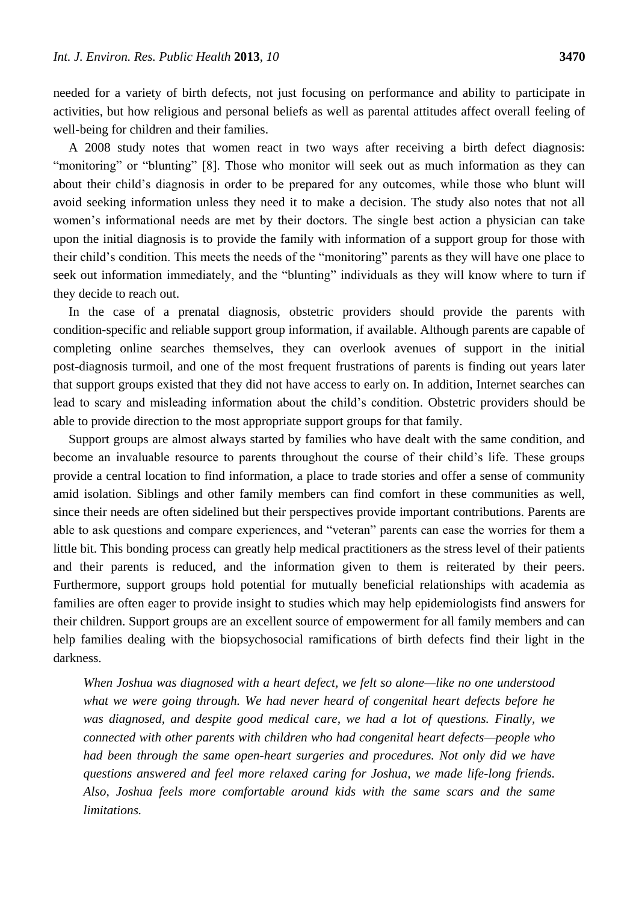needed for a variety of birth defects, not just focusing on performance and ability to participate in activities, but how religious and personal beliefs as well as parental attitudes affect overall feeling of well-being for children and their families.

A 2008 study notes that women react in two ways after receiving a birth defect diagnosis: "monitoring" or "blunting" [8]. Those who monitor will seek out as much information as they can about their child's diagnosis in order to be prepared for any outcomes, while those who blunt will avoid seeking information unless they need it to make a decision. The study also notes that not all women's informational needs are met by their doctors. The single best action a physician can take upon the initial diagnosis is to provide the family with information of a support group for those with their child's condition. This meets the needs of the "monitoring" parents as they will have one place to seek out information immediately, and the "blunting" individuals as they will know where to turn if they decide to reach out.

In the case of a prenatal diagnosis, obstetric providers should provide the parents with condition-specific and reliable support group information, if available. Although parents are capable of completing online searches themselves, they can overlook avenues of support in the initial post-diagnosis turmoil, and one of the most frequent frustrations of parents is finding out years later that support groups existed that they did not have access to early on. In addition, Internet searches can lead to scary and misleading information about the child's condition. Obstetric providers should be able to provide direction to the most appropriate support groups for that family.

Support groups are almost always started by families who have dealt with the same condition, and become an invaluable resource to parents throughout the course of their child's life. These groups provide a central location to find information, a place to trade stories and offer a sense of community amid isolation. Siblings and other family members can find comfort in these communities as well, since their needs are often sidelined but their perspectives provide important contributions. Parents are able to ask questions and compare experiences, and "veteran" parents can ease the worries for them a little bit. This bonding process can greatly help medical practitioners as the stress level of their patients and their parents is reduced, and the information given to them is reiterated by their peers. Furthermore, support groups hold potential for mutually beneficial relationships with academia as families are often eager to provide insight to studies which may help epidemiologists find answers for their children. Support groups are an excellent source of empowerment for all family members and can help families dealing with the biopsychosocial ramifications of birth defects find their light in the darkness.

*When Joshua was diagnosed with a heart defect, we felt so alone—like no one understood what we were going through. We had never heard of congenital heart defects before he was diagnosed, and despite good medical care, we had a lot of questions. Finally, we connected with other parents with children who had congenital heart defects—people who had been through the same open-heart surgeries and procedures. Not only did we have questions answered and feel more relaxed caring for Joshua, we made life-long friends. Also, Joshua feels more comfortable around kids with the same scars and the same limitations.*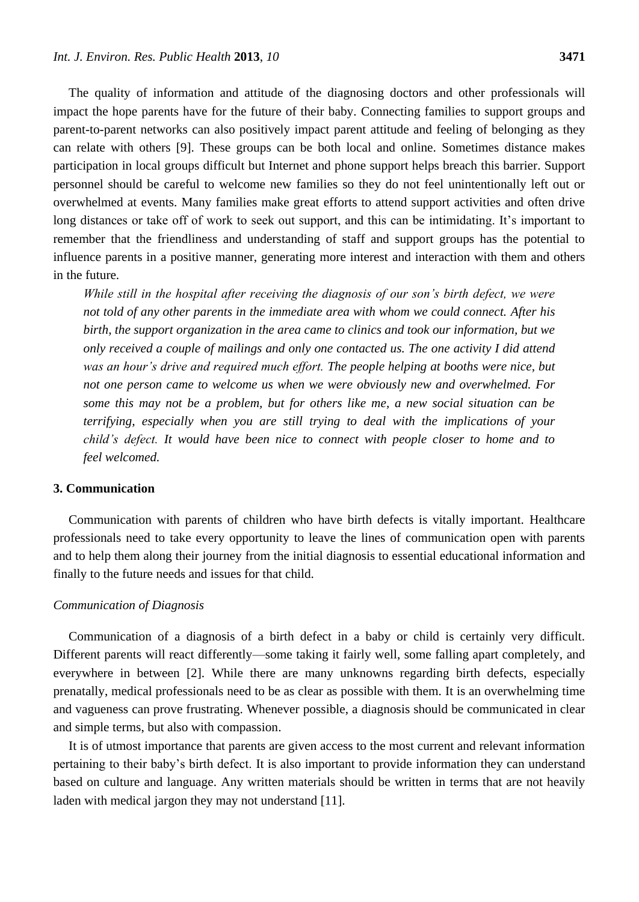The quality of information and attitude of the diagnosing doctors and other professionals will impact the hope parents have for the future of their baby. Connecting families to support groups and parent-to-parent networks can also positively impact parent attitude and feeling of belonging as they can relate with others [9]. These groups can be both local and online. Sometimes distance makes participation in local groups difficult but Internet and phone support helps breach this barrier. Support personnel should be careful to welcome new families so they do not feel unintentionally left out or overwhelmed at events. Many families make great efforts to attend support activities and often drive long distances or take off of work to seek out support, and this can be intimidating. It's important to remember that the friendliness and understanding of staff and support groups has the potential to influence parents in a positive manner, generating more interest and interaction with them and others in the future.

*While still in the hospital after receiving the diagnosis of our son's birth defect, we were not told of any other parents in the immediate area with whom we could connect. After his birth, the support organization in the area came to clinics and took our information, but we only received a couple of mailings and only one contacted us. The one activity I did attend was an hour's drive and required much effort. The people helping at booths were nice, but not one person came to welcome us when we were obviously new and overwhelmed. For some this may not be a problem, but for others like me, a new social situation can be terrifying, especially when you are still trying to deal with the implications of your child's defect. It would have been nice to connect with people closer to home and to feel welcomed.*

# **3. Communication**

Communication with parents of children who have birth defects is vitally important. Healthcare professionals need to take every opportunity to leave the lines of communication open with parents and to help them along their journey from the initial diagnosis to essential educational information and finally to the future needs and issues for that child.

## *Communication of Diagnosis*

Communication of a diagnosis of a birth defect in a baby or child is certainly very difficult. Different parents will react differently—some taking it fairly well, some falling apart completely, and everywhere in between [2]. While there are many unknowns regarding birth defects, especially prenatally, medical professionals need to be as clear as possible with them. It is an overwhelming time and vagueness can prove frustrating. Whenever possible, a diagnosis should be communicated in clear and simple terms, but also with compassion.

It is of utmost importance that parents are given access to the most current and relevant information pertaining to their baby's birth defect. It is also important to provide information they can understand based on culture and language. Any written materials should be written in terms that are not heavily laden with medical jargon they may not understand [11].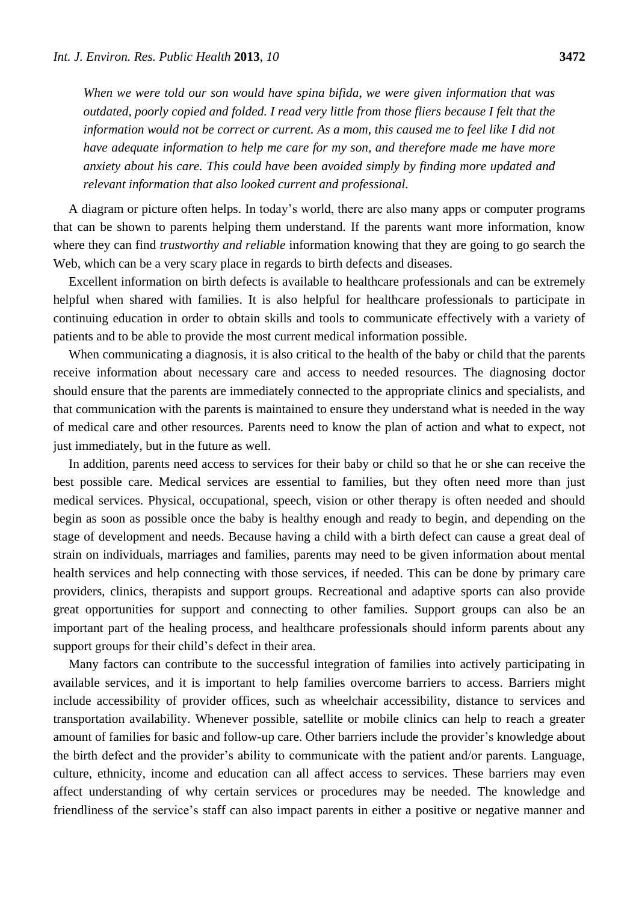*When we were told our son would have spina bifida, we were given information that was outdated, poorly copied and folded. I read very little from those fliers because I felt that the information would not be correct or current. As a mom, this caused me to feel like I did not have adequate information to help me care for my son, and therefore made me have more anxiety about his care. This could have been avoided simply by finding more updated and relevant information that also looked current and professional.*

A diagram or picture often helps. In today's world, there are also many apps or computer programs that can be shown to parents helping them understand. If the parents want more information, know where they can find *trustworthy and reliable* information knowing that they are going to go search the Web, which can be a very scary place in regards to birth defects and diseases.

Excellent information on birth defects is available to healthcare professionals and can be extremely helpful when shared with families. It is also helpful for healthcare professionals to participate in continuing education in order to obtain skills and tools to communicate effectively with a variety of patients and to be able to provide the most current medical information possible.

When communicating a diagnosis, it is also critical to the health of the baby or child that the parents receive information about necessary care and access to needed resources. The diagnosing doctor should ensure that the parents are immediately connected to the appropriate clinics and specialists, and that communication with the parents is maintained to ensure they understand what is needed in the way of medical care and other resources. Parents need to know the plan of action and what to expect, not just immediately, but in the future as well.

In addition, parents need access to services for their baby or child so that he or she can receive the best possible care. Medical services are essential to families, but they often need more than just medical services. Physical, occupational, speech, vision or other therapy is often needed and should begin as soon as possible once the baby is healthy enough and ready to begin, and depending on the stage of development and needs. Because having a child with a birth defect can cause a great deal of strain on individuals, marriages and families, parents may need to be given information about mental health services and help connecting with those services, if needed. This can be done by primary care providers, clinics, therapists and support groups. Recreational and adaptive sports can also provide great opportunities for support and connecting to other families. Support groups can also be an important part of the healing process, and healthcare professionals should inform parents about any support groups for their child's defect in their area.

Many factors can contribute to the successful integration of families into actively participating in available services, and it is important to help families overcome barriers to access. Barriers might include accessibility of provider offices, such as wheelchair accessibility, distance to services and transportation availability. Whenever possible, satellite or mobile clinics can help to reach a greater amount of families for basic and follow-up care. Other barriers include the provider's knowledge about the birth defect and the provider's ability to communicate with the patient and/or parents. Language, culture, ethnicity, income and education can all affect access to services. These barriers may even affect understanding of why certain services or procedures may be needed. The knowledge and friendliness of the service's staff can also impact parents in either a positive or negative manner and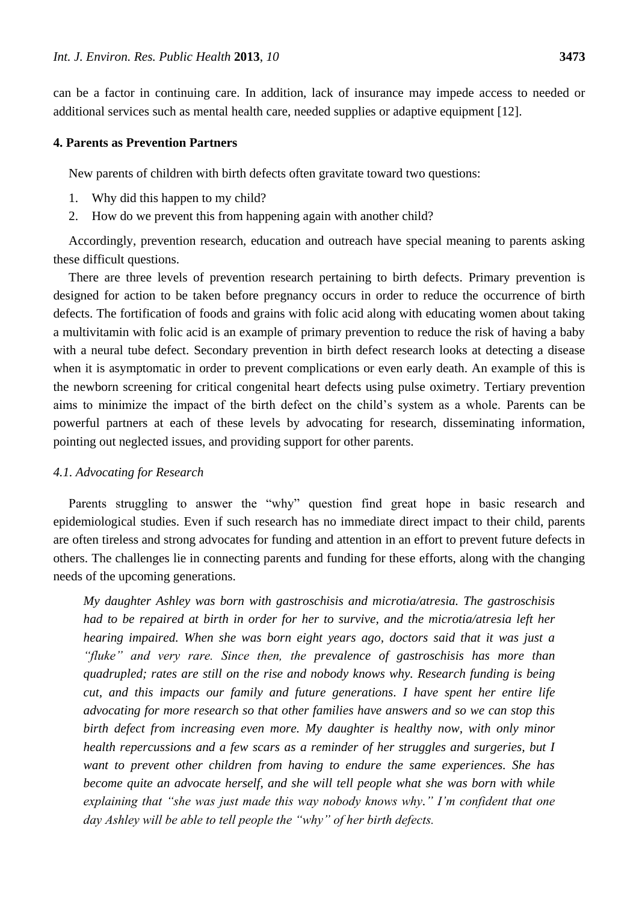can be a factor in continuing care. In addition, lack of insurance may impede access to needed or additional services such as mental health care, needed supplies or adaptive equipment [12].

#### **4. Parents as Prevention Partners**

New parents of children with birth defects often gravitate toward two questions:

- 1. Why did this happen to my child?
- 2. How do we prevent this from happening again with another child?

Accordingly, prevention research, education and outreach have special meaning to parents asking these difficult questions.

There are three levels of prevention research pertaining to birth defects. Primary prevention is designed for action to be taken before pregnancy occurs in order to reduce the occurrence of birth defects. The fortification of foods and grains with folic acid along with educating women about taking a multivitamin with folic acid is an example of primary prevention to reduce the risk of having a baby with a neural tube defect. Secondary prevention in birth defect research looks at detecting a disease when it is asymptomatic in order to prevent complications or even early death. An example of this is the newborn screening for critical congenital heart defects using pulse oximetry. Tertiary prevention aims to minimize the impact of the birth defect on the child's system as a whole. Parents can be powerful partners at each of these levels by advocating for research, disseminating information, pointing out neglected issues, and providing support for other parents.

#### *4.1. Advocating for Research*

Parents struggling to answer the "why" question find great hope in basic research and epidemiological studies. Even if such research has no immediate direct impact to their child, parents are often tireless and strong advocates for funding and attention in an effort to prevent future defects in others. The challenges lie in connecting parents and funding for these efforts, along with the changing needs of the upcoming generations.

*My daughter Ashley was born with gastroschisis and microtia/atresia. The gastroschisis had to be repaired at birth in order for her to survive, and the microtia/atresia left her hearing impaired. When she was born eight years ago, doctors said that it was just a "fluke" and very rare. Since then, the prevalence of gastroschisis has more than quadrupled; rates are still on the rise and nobody knows why. Research funding is being cut, and this impacts our family and future generations. I have spent her entire life advocating for more research so that other families have answers and so we can stop this birth defect from increasing even more. My daughter is healthy now, with only minor health repercussions and a few scars as a reminder of her struggles and surgeries, but I want to prevent other children from having to endure the same experiences. She has become quite an advocate herself, and she will tell people what she was born with while explaining that "she was just made this way nobody knows why." I'm confident that one day Ashley will be able to tell people the "why" of her birth defects.*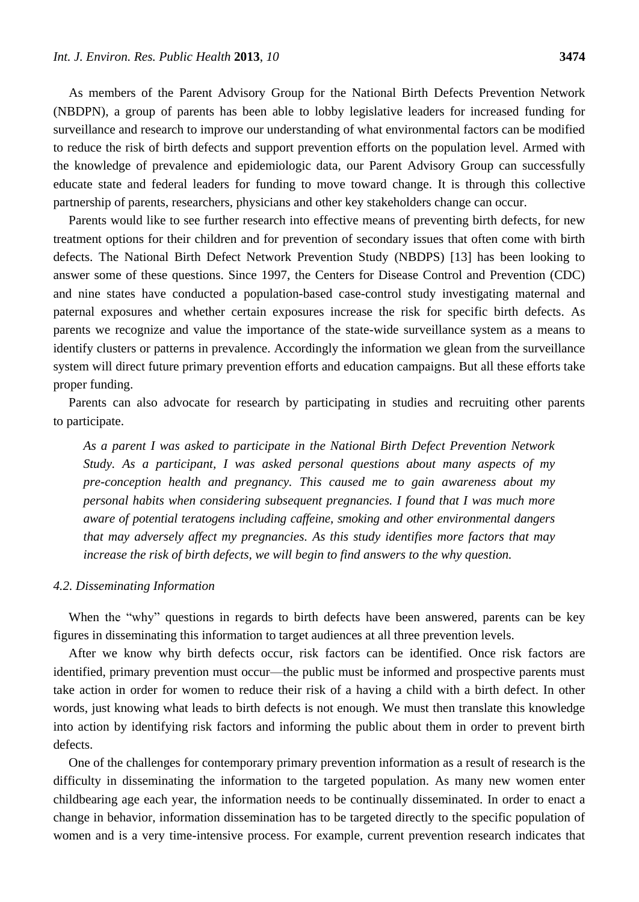As members of the Parent Advisory Group for the National Birth Defects Prevention Network (NBDPN), a group of parents has been able to lobby legislative leaders for increased funding for surveillance and research to improve our understanding of what environmental factors can be modified to reduce the risk of birth defects and support prevention efforts on the population level. Armed with the knowledge of prevalence and epidemiologic data, our Parent Advisory Group can successfully educate state and federal leaders for funding to move toward change. It is through this collective partnership of parents, researchers, physicians and other key stakeholders change can occur.

Parents would like to see further research into effective means of preventing birth defects, for new treatment options for their children and for prevention of secondary issues that often come with birth defects. The National Birth Defect Network Prevention Study (NBDPS) [13] has been looking to answer some of these questions. Since 1997, the Centers for Disease Control and Prevention (CDC) and nine states have conducted a population-based case-control study investigating maternal and paternal exposures and whether certain exposures increase the risk for specific birth defects. As parents we recognize and value the importance of the state-wide surveillance system as a means to identify clusters or patterns in prevalence. Accordingly the information we glean from the surveillance system will direct future primary prevention efforts and education campaigns. But all these efforts take proper funding.

Parents can also advocate for research by participating in studies and recruiting other parents to participate.

*As a parent I was asked to participate in the National Birth Defect Prevention Network Study. As a participant, I was asked personal questions about many aspects of my pre-conception health and pregnancy. This caused me to gain awareness about my personal habits when considering subsequent pregnancies. I found that I was much more aware of potential teratogens including caffeine, smoking and other environmental dangers that may adversely affect my pregnancies. As this study identifies more factors that may increase the risk of birth defects, we will begin to find answers to the why question.*

#### *4.2. Disseminating Information*

When the "why" questions in regards to birth defects have been answered, parents can be key figures in disseminating this information to target audiences at all three prevention levels.

After we know why birth defects occur, risk factors can be identified. Once risk factors are identified, primary prevention must occur—the public must be informed and prospective parents must take action in order for women to reduce their risk of a having a child with a birth defect. In other words, just knowing what leads to birth defects is not enough. We must then translate this knowledge into action by identifying risk factors and informing the public about them in order to prevent birth defects.

One of the challenges for contemporary primary prevention information as a result of research is the difficulty in disseminating the information to the targeted population. As many new women enter childbearing age each year, the information needs to be continually disseminated. In order to enact a change in behavior, information dissemination has to be targeted directly to the specific population of women and is a very time-intensive process. For example, current prevention research indicates that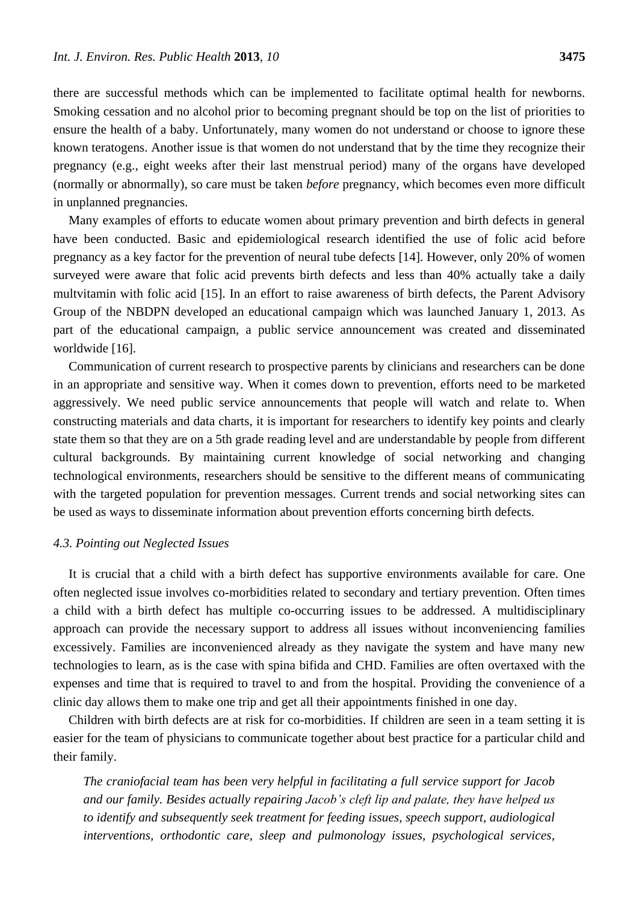there are successful methods which can be implemented to facilitate optimal health for newborns. Smoking cessation and no alcohol prior to becoming pregnant should be top on the list of priorities to ensure the health of a baby. Unfortunately, many women do not understand or choose to ignore these known teratogens. Another issue is that women do not understand that by the time they recognize their pregnancy (e.g., eight weeks after their last menstrual period) many of the organs have developed (normally or abnormally), so care must be taken *before* pregnancy, which becomes even more difficult in unplanned pregnancies.

Many examples of efforts to educate women about primary prevention and birth defects in general have been conducted. Basic and epidemiological research identified the use of folic acid before pregnancy as a key factor for the prevention of neural tube defects [14]. However, only 20% of women surveyed were aware that folic acid prevents birth defects and less than 40% actually take a daily multvitamin with folic acid [15]. In an effort to raise awareness of birth defects, the Parent Advisory Group of the NBDPN developed an educational campaign which was launched January 1, 2013. As part of the educational campaign, a public service announcement was created and disseminated worldwide [16].

Communication of current research to prospective parents by clinicians and researchers can be done in an appropriate and sensitive way. When it comes down to prevention, efforts need to be marketed aggressively. We need public service announcements that people will watch and relate to. When constructing materials and data charts, it is important for researchers to identify key points and clearly state them so that they are on a 5th grade reading level and are understandable by people from different cultural backgrounds. By maintaining current knowledge of social networking and changing technological environments, researchers should be sensitive to the different means of communicating with the targeted population for prevention messages. Current trends and social networking sites can be used as ways to disseminate information about prevention efforts concerning birth defects.

#### *4.3. Pointing out Neglected Issues*

It is crucial that a child with a birth defect has supportive environments available for care. One often neglected issue involves co-morbidities related to secondary and tertiary prevention. Often times a child with a birth defect has multiple co-occurring issues to be addressed. A multidisciplinary approach can provide the necessary support to address all issues without inconveniencing families excessively. Families are inconvenienced already as they navigate the system and have many new technologies to learn, as is the case with spina bifida and CHD. Families are often overtaxed with the expenses and time that is required to travel to and from the hospital. Providing the convenience of a clinic day allows them to make one trip and get all their appointments finished in one day.

Children with birth defects are at risk for co-morbidities. If children are seen in a team setting it is easier for the team of physicians to communicate together about best practice for a particular child and their family.

*The craniofacial team has been very helpful in facilitating a full service support for Jacob and our family. Besides actually repairing Jacob's cleft lip and palate, they have helped us to identify and subsequently seek treatment for feeding issues, speech support, audiological interventions, orthodontic care, sleep and pulmonology issues, psychological services,*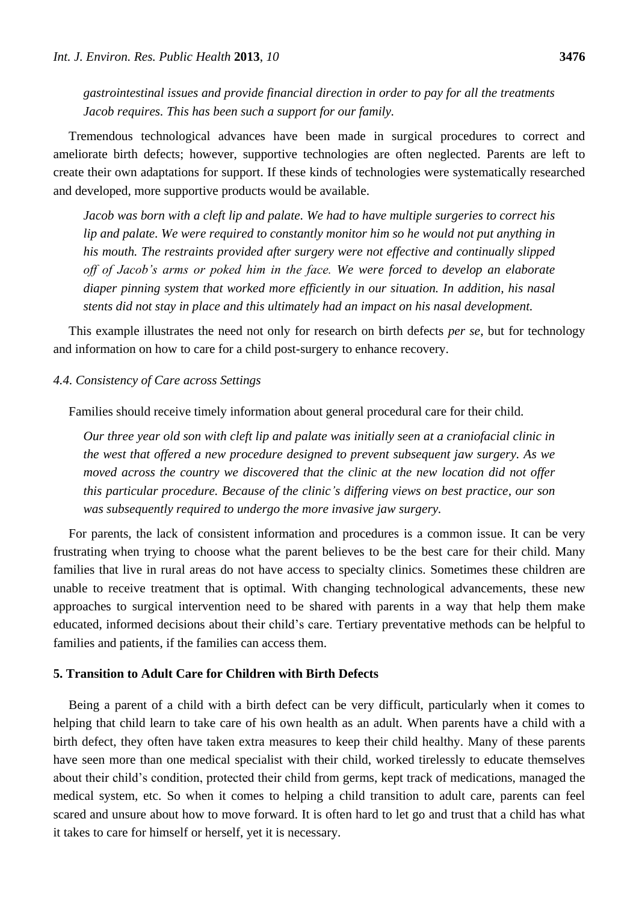*gastrointestinal issues and provide financial direction in order to pay for all the treatments Jacob requires. This has been such a support for our family.*

Tremendous technological advances have been made in surgical procedures to correct and ameliorate birth defects; however, supportive technologies are often neglected. Parents are left to create their own adaptations for support. If these kinds of technologies were systematically researched and developed, more supportive products would be available.

*Jacob was born with a cleft lip and palate. We had to have multiple surgeries to correct his lip and palate. We were required to constantly monitor him so he would not put anything in his mouth. The restraints provided after surgery were not effective and continually slipped off of Jacob's arms or poked him in the face. We were forced to develop an elaborate diaper pinning system that worked more efficiently in our situation. In addition, his nasal stents did not stay in place and this ultimately had an impact on his nasal development.*

This example illustrates the need not only for research on birth defects *per se*, but for technology and information on how to care for a child post-surgery to enhance recovery.

## *4.4. Consistency of Care across Settings*

Families should receive timely information about general procedural care for their child.

*Our three year old son with cleft lip and palate was initially seen at a craniofacial clinic in the west that offered a new procedure designed to prevent subsequent jaw surgery. As we moved across the country we discovered that the clinic at the new location did not offer this particular procedure. Because of the clinic's differing views on best practice, our son was subsequently required to undergo the more invasive jaw surgery.*

For parents, the lack of consistent information and procedures is a common issue. It can be very frustrating when trying to choose what the parent believes to be the best care for their child. Many families that live in rural areas do not have access to specialty clinics. Sometimes these children are unable to receive treatment that is optimal. With changing technological advancements, these new approaches to surgical intervention need to be shared with parents in a way that help them make educated, informed decisions about their child's care. Tertiary preventative methods can be helpful to families and patients, if the families can access them.

# **5. Transition to Adult Care for Children with Birth Defects**

Being a parent of a child with a birth defect can be very difficult, particularly when it comes to helping that child learn to take care of his own health as an adult. When parents have a child with a birth defect, they often have taken extra measures to keep their child healthy. Many of these parents have seen more than one medical specialist with their child, worked tirelessly to educate themselves about their child's condition, protected their child from germs, kept track of medications, managed the medical system, etc. So when it comes to helping a child transition to adult care, parents can feel scared and unsure about how to move forward. It is often hard to let go and trust that a child has what it takes to care for himself or herself, yet it is necessary.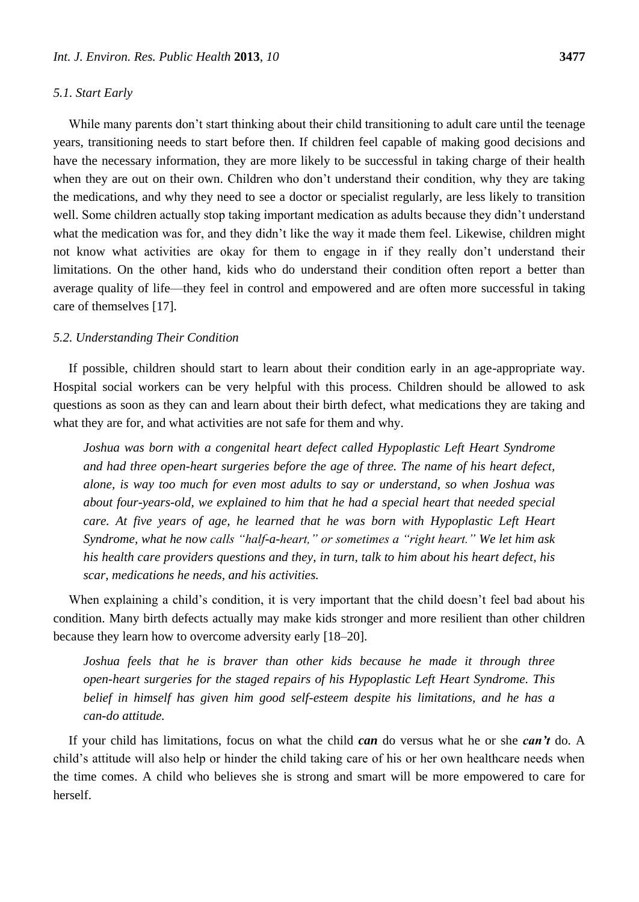## *5.1. Start Early*

While many parents don't start thinking about their child transitioning to adult care until the teenage years, transitioning needs to start before then. If children feel capable of making good decisions and have the necessary information, they are more likely to be successful in taking charge of their health when they are out on their own. Children who don't understand their condition, why they are taking the medications, and why they need to see a doctor or specialist regularly, are less likely to transition well. Some children actually stop taking important medication as adults because they didn't understand what the medication was for, and they didn't like the way it made them feel. Likewise, children might not know what activities are okay for them to engage in if they really don't understand their limitations. On the other hand, kids who do understand their condition often report a better than average quality of life—they feel in control and empowered and are often more successful in taking care of themselves [17].

## *5.2. Understanding Their Condition*

If possible, children should start to learn about their condition early in an age-appropriate way. Hospital social workers can be very helpful with this process. Children should be allowed to ask questions as soon as they can and learn about their birth defect, what medications they are taking and what they are for, and what activities are not safe for them and why.

Joshua was born with a congenital heart defect called Hypoplastic Left Heart Syndrome *and had three open-heart surgeries before the age of three. The name of his heart defect, alone, is way too much for even most adults to say or understand, so when Joshua was about four-years-old, we explained to him that he had a special heart that needed special care. At five years of age, he learned that he was born with Hypoplastic Left Heart Syndrome, what he now calls "half-a-heart," or sometimes a "right heart." We let him ask his health care providers questions and they, in turn, talk to him about his heart defect, his scar, medications he needs, and his activities.*

When explaining a child's condition, it is very important that the child doesn't feel bad about his condition. Many birth defects actually may make kids stronger and more resilient than other children because they learn how to overcome adversity early [18–20].

*Joshua feels that he is braver than other kids because he made it through three open-heart surgeries for the staged repairs of his Hypoplastic Left Heart Syndrome. This belief in himself has given him good self-esteem despite his limitations, and he has a can-do attitude.*

If your child has limitations, focus on what the child *can* do versus what he or she *can't* do. A child's attitude will also help or hinder the child taking care of his or her own healthcare needs when the time comes. A child who believes she is strong and smart will be more empowered to care for herself.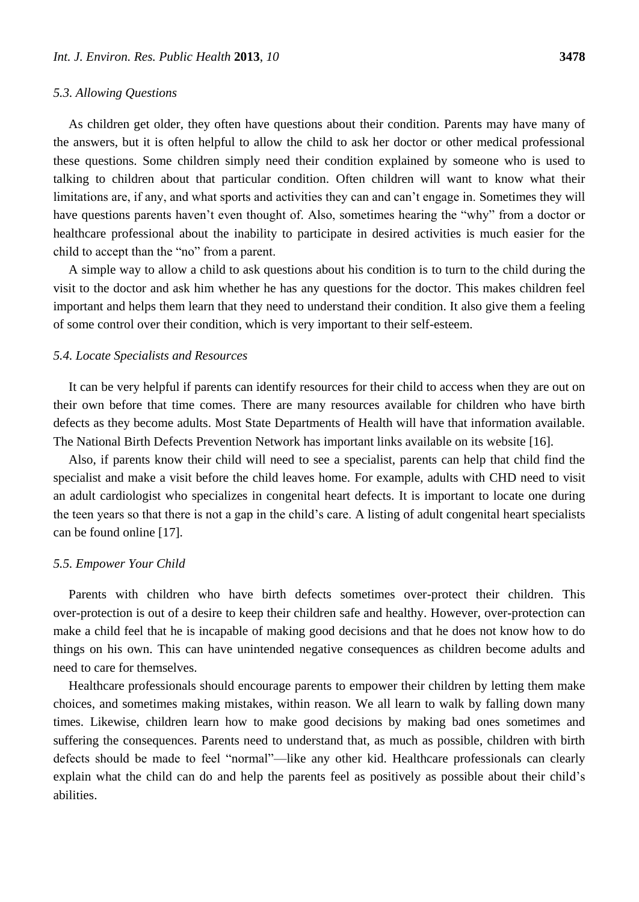#### *5.3. Allowing Questions*

As children get older, they often have questions about their condition. Parents may have many of the answers, but it is often helpful to allow the child to ask her doctor or other medical professional these questions. Some children simply need their condition explained by someone who is used to talking to children about that particular condition. Often children will want to know what their limitations are, if any, and what sports and activities they can and can't engage in. Sometimes they will have questions parents haven't even thought of. Also, sometimes hearing the "why" from a doctor or healthcare professional about the inability to participate in desired activities is much easier for the child to accept than the "no" from a parent.

A simple way to allow a child to ask questions about his condition is to turn to the child during the visit to the doctor and ask him whether he has any questions for the doctor. This makes children feel important and helps them learn that they need to understand their condition. It also give them a feeling of some control over their condition, which is very important to their self-esteem.

#### *5.4. Locate Specialists and Resources*

It can be very helpful if parents can identify resources for their child to access when they are out on their own before that time comes. There are many resources available for children who have birth defects as they become adults. Most State Departments of Health will have that information available. The National Birth Defects Prevention Network has important links available on its website [16].

Also, if parents know their child will need to see a specialist, parents can help that child find the specialist and make a visit before the child leaves home. For example, adults with CHD need to visit an adult cardiologist who specializes in congenital heart defects. It is important to locate one during the teen years so that there is not a gap in the child's care. A listing of adult congenital heart specialists can be found online [17].

#### *5.5. Empower Your Child*

Parents with children who have birth defects sometimes over-protect their children. This over-protection is out of a desire to keep their children safe and healthy. However, over-protection can make a child feel that he is incapable of making good decisions and that he does not know how to do things on his own. This can have unintended negative consequences as children become adults and need to care for themselves.

Healthcare professionals should encourage parents to empower their children by letting them make choices, and sometimes making mistakes, within reason. We all learn to walk by falling down many times. Likewise, children learn how to make good decisions by making bad ones sometimes and suffering the consequences. Parents need to understand that, as much as possible, children with birth defects should be made to feel "normal"—like any other kid. Healthcare professionals can clearly explain what the child can do and help the parents feel as positively as possible about their child's abilities.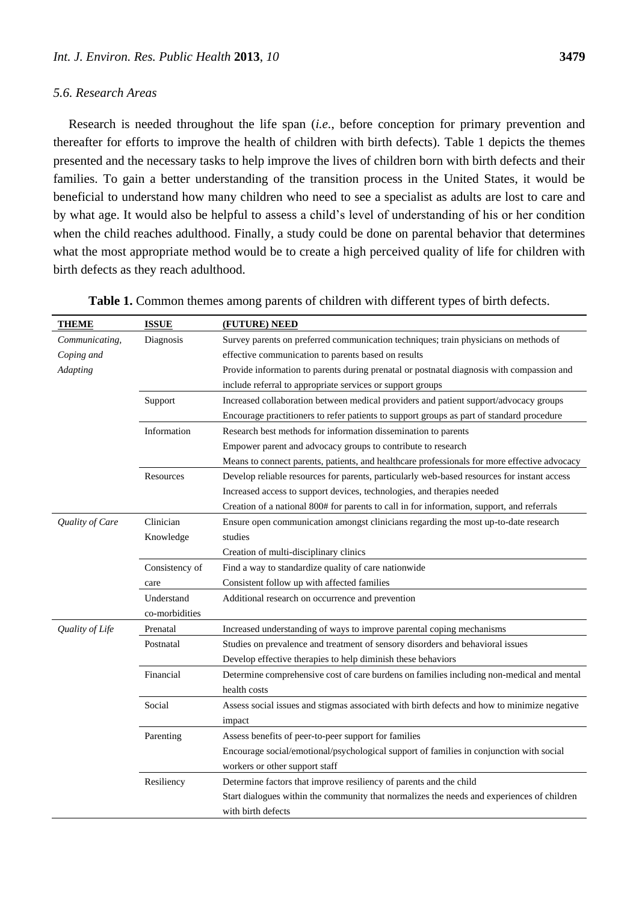Research is needed throughout the life span (*i.e.*, before conception for primary prevention and thereafter for efforts to improve the health of children with birth defects). Table 1 depicts the themes presented and the necessary tasks to help improve the lives of children born with birth defects and their families. To gain a better understanding of the transition process in the United States, it would be beneficial to understand how many children who need to see a specialist as adults are lost to care and by what age. It would also be helpful to assess a child's level of understanding of his or her condition when the child reaches adulthood. Finally, a study could be done on parental behavior that determines what the most appropriate method would be to create a high perceived quality of life for children with birth defects as they reach adulthood.

| <b>THEME</b>    | <b>ISSUE</b>   | (FUTURE) NEED                                                                                |
|-----------------|----------------|----------------------------------------------------------------------------------------------|
| Communicating,  | Diagnosis      | Survey parents on preferred communication techniques; train physicians on methods of         |
| Coping and      |                | effective communication to parents based on results                                          |
| <b>Adapting</b> |                | Provide information to parents during prenatal or postnatal diagnosis with compassion and    |
|                 |                | include referral to appropriate services or support groups                                   |
|                 | Support        | Increased collaboration between medical providers and patient support/advocacy groups        |
|                 |                | Encourage practitioners to refer patients to support groups as part of standard procedure    |
|                 | Information    | Research best methods for information dissemination to parents                               |
|                 |                | Empower parent and advocacy groups to contribute to research                                 |
|                 |                | Means to connect parents, patients, and healthcare professionals for more effective advocacy |
|                 | Resources      | Develop reliable resources for parents, particularly web-based resources for instant access  |
|                 |                | Increased access to support devices, technologies, and therapies needed                      |
|                 |                | Creation of a national 800# for parents to call in for information, support, and referrals   |
| Quality of Care | Clinician      | Ensure open communication amongst clinicians regarding the most up-to-date research          |
|                 | Knowledge      | studies                                                                                      |
|                 |                | Creation of multi-disciplinary clinics                                                       |
|                 | Consistency of | Find a way to standardize quality of care nationwide                                         |
|                 | care           | Consistent follow up with affected families                                                  |
|                 | Understand     | Additional research on occurrence and prevention                                             |
|                 | co-morbidities |                                                                                              |
| Quality of Life | Prenatal       | Increased understanding of ways to improve parental coping mechanisms                        |
|                 | Postnatal      | Studies on prevalence and treatment of sensory disorders and behavioral issues               |
|                 |                | Develop effective therapies to help diminish these behaviors                                 |
|                 | Financial      | Determine comprehensive cost of care burdens on families including non-medical and mental    |
|                 |                | health costs                                                                                 |
|                 | Social         | Assess social issues and stigmas associated with birth defects and how to minimize negative  |
|                 |                | impact                                                                                       |
|                 | Parenting      | Assess benefits of peer-to-peer support for families                                         |
|                 |                | Encourage social/emotional/psychological support of families in conjunction with social      |
|                 |                | workers or other support staff                                                               |
|                 | Resiliency     | Determine factors that improve resiliency of parents and the child                           |
|                 |                | Start dialogues within the community that normalizes the needs and experiences of children   |
|                 |                | with birth defects                                                                           |
|                 |                |                                                                                              |

**Table 1.** Common themes among parents of children with different types of birth defects.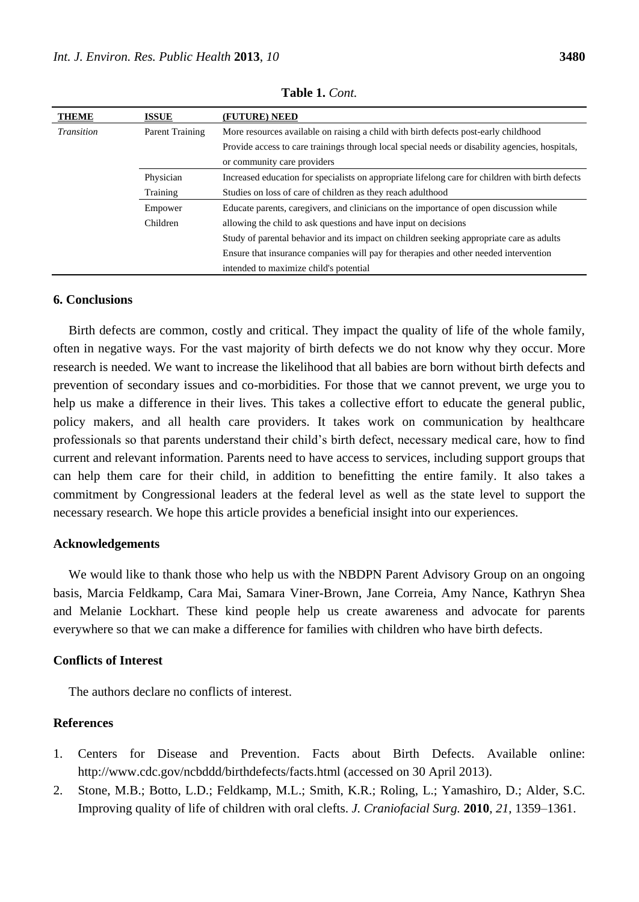| <b>THEME</b> | <b>ISSUE</b>    | (FUTURE) NEED                                                                                    |
|--------------|-----------------|--------------------------------------------------------------------------------------------------|
| Transition   | Parent Training | More resources available on raising a child with birth defects post-early childhood              |
|              |                 | Provide access to care trainings through local special needs or disability agencies, hospitals,  |
|              |                 | or community care providers                                                                      |
|              | Physician       | Increased education for specialists on appropriate lifelong care for children with birth defects |
|              | Training        | Studies on loss of care of children as they reach adulthood                                      |
|              | Empower         | Educate parents, caregivers, and clinicians on the importance of open discussion while           |
|              | Children        | allowing the child to ask questions and have input on decisions                                  |
|              |                 | Study of parental behavior and its impact on children seeking appropriate care as adults         |
|              |                 | Ensure that insurance companies will pay for therapies and other needed intervention             |
|              |                 | intended to maximize child's potential                                                           |

**Table 1.** *Cont.*

# **6. Conclusions**

Birth defects are common, costly and critical. They impact the quality of life of the whole family, often in negative ways. For the vast majority of birth defects we do not know why they occur. More research is needed. We want to increase the likelihood that all babies are born without birth defects and prevention of secondary issues and co-morbidities. For those that we cannot prevent, we urge you to help us make a difference in their lives. This takes a collective effort to educate the general public, policy makers, and all health care providers. It takes work on communication by healthcare professionals so that parents understand their child's birth defect, necessary medical care, how to find current and relevant information. Parents need to have access to services, including support groups that can help them care for their child, in addition to benefitting the entire family. It also takes a commitment by Congressional leaders at the federal level as well as the state level to support the necessary research. We hope this article provides a beneficial insight into our experiences.

#### **Acknowledgements**

We would like to thank those who help us with the NBDPN Parent Advisory Group on an ongoing basis, Marcia Feldkamp, Cara Mai, Samara Viner-Brown, Jane Correia, Amy Nance, Kathryn Shea and Melanie Lockhart. These kind people help us create awareness and advocate for parents everywhere so that we can make a difference for families with children who have birth defects.

## **Conflicts of Interest**

The authors declare no conflicts of interest.

# **References**

- 1. Centers for Disease and Prevention. Facts about Birth Defects. Available online: http://www.cdc.gov/ncbddd/birthdefects/facts.html (accessed on 30 April 2013).
- 2. Stone, M.B.; Botto, L.D.; Feldkamp, M.L.; Smith, K.R.; Roling, L.; Yamashiro, D.; Alder, S.C. Improving quality of life of children with oral clefts. *J. Craniofacial Surg.* **2010**, *21*, 1359–1361.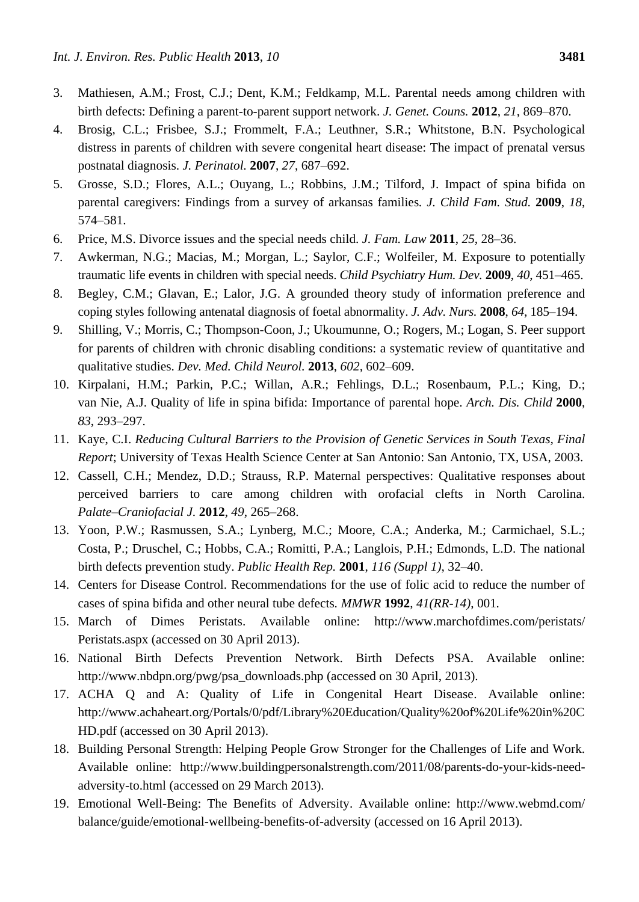- 3. Mathiesen, A.M.; Frost, C.J.; Dent, K.M.; Feldkamp, M.L. Parental needs among children with birth defects: Defining a parent-to-parent support network. *J. Genet. Couns.* **2012**, *21*, 869–870.
- 4. Brosig, C.L.; Frisbee, S.J.; Frommelt, F.A.; Leuthner, S.R.; Whitstone, B.N. Psychological distress in parents of children with severe congenital heart disease: The impact of prenatal versus postnatal diagnosis. *J. Perinatol.* **2007**, *27*, 687–692.
- 5. Grosse, S.D.; Flores, A.L.; Ouyang, L.; Robbins, J.M.; Tilford, J. Impact of spina bifida on parental caregivers: Findings from a survey of arkansas families*. J. Child Fam. Stud.* **2009**, *18*, 574–581.
- 6. Price, M.S. Divorce issues and the special needs child. *J. Fam. Law* **2011**, *25*, 28–36.
- 7. Awkerman, N.G.; Macias, M.; Morgan, L.; Saylor, C.F.; Wolfeiler, M. Exposure to potentially traumatic life events in children with special needs. *Child Psychiatry Hum. Dev.* **2009**, *40*, 451–465.
- 8. Begley, C.M.; Glavan, E.; Lalor, J.G. A grounded theory study of information preference and coping styles following antenatal diagnosis of foetal abnormality. *J. Adv. Nurs.* **2008**, *64*, 185–194.
- 9. Shilling, V.; Morris, C.; Thompson-Coon, J.; Ukoumunne, O.; Rogers, M.; Logan, S. Peer support for parents of children with chronic disabling conditions: a systematic review of quantitative and qualitative studies. *Dev. Med. Child Neurol.* **2013**, *602,* 602–609.
- 10. Kirpalani, H.M.; Parkin, P.C.; Willan, A.R.; Fehlings, D.L.; Rosenbaum, P.L.; King, D.; van Nie, A.J. Quality of life in spina bifida: Importance of parental hope. *Arch. Dis. Child* **2000**, *83*, 293–297.
- 11. Kaye, C.I. *Reducing Cultural Barriers to the Provision of Genetic Services in South Texas, Final Report*; University of Texas Health Science Center at San Antonio: San Antonio, TX, USA, 2003.
- 12. Cassell, C.H.; Mendez, D.D.; Strauss, R.P. Maternal perspectives: Qualitative responses about perceived barriers to care among children with orofacial clefts in North Carolina. *Palate–Craniofacial J.* **2012**, *49*, 265–268.
- 13. Yoon, P.W.; [Rasmussen,](http://www.ncbi.nlm.nih.gov/pubmed/?term=Rasmussen%20SA%5Bauth%5D) S.A.; [Lynberg,](http://www.ncbi.nlm.nih.gov/pubmed/?term=Lynberg%20MC%5Bauth%5D) M.C.; [Moore,](http://www.ncbi.nlm.nih.gov/pubmed/?term=Moore%20CA%5Bauth%5D) C.A.; [Anderka,](http://www.ncbi.nlm.nih.gov/pubmed/?term=Anderka%20M%5Bauth%5D) M.; [Carmichael,](http://www.ncbi.nlm.nih.gov/pubmed/?term=Carmichael%20SL%5Bauth%5D) S.L.; [Costa,](http://www.ncbi.nlm.nih.gov/pubmed/?term=Costa%20P%5Bauth%5D) P.; [Druschel,](http://www.ncbi.nlm.nih.gov/pubmed/?term=Druschel%20C%5Bauth%5D) C.; [Hobbs,](http://www.ncbi.nlm.nih.gov/pubmed/?term=Hobbs%20CA%5Bauth%5D) C.A.; [Romitti,](http://www.ncbi.nlm.nih.gov/pubmed/?term=Romitti%20PA%5Bauth%5D) P.A.; [Langlois,](http://www.ncbi.nlm.nih.gov/pubmed/?term=Langlois%20PH%5Bauth%5D) P.H.; [Edmonds,](http://www.ncbi.nlm.nih.gov/pubmed/?term=Edmonds%20LD%5Bauth%5D) L.D. The [national](http://www.ncbi.nlm.nih.gov/pmc/articles/PMC1913684/)  [birth defects prevention study.](http://www.ncbi.nlm.nih.gov/pmc/articles/PMC1913684/) *Public Health Rep.* **2001**, *116 (Suppl 1)*, 32–40.
- 14. Centers for Disease Control. Recommendations for the use of folic acid to reduce the number of cases of spina bifida and other neural tube defects*. MMWR* **1992**, *41(RR-14)*, 001*.*
- 15. March of Dimes Peristats. Available online: http://www.marchofdimes.com/peristats/ Peristats.aspx (accessed on 30 April 2013).
- 16. National Birth Defects Prevention Network. Birth Defects PSA. Available online: http://www.nbdpn.org/pwg/psa\_downloads.php (accessed on 30 April, 2013).
- 17. ACHA Q and A: Quality of Life in Congenital Heart Disease. Available online: http://www.achaheart.org/Portals/0/pdf/Library%20Education/Quality%20of%20Life%20in%20C HD.pdf (accessed on 30 April 2013).
- 18. Building Personal Strength: Helping People Grow Stronger for the Challenges of Life and Work. Available online: http://www.buildingpersonalstrength.com/2011/08/parents-do-your-kids-needadversity-to.html (accessed on 29 March 2013).
- 19. Emotional Well-Being: The Benefits of Adversity. Available online: http://www.webmd.com/ balance/guide/emotional-wellbeing-benefits-of-adversity (accessed on 16 April 2013).